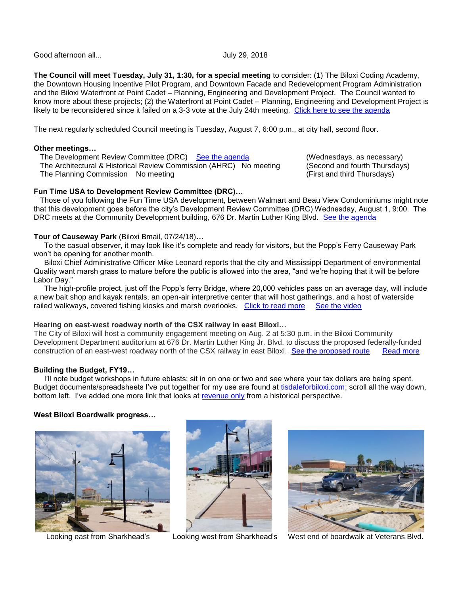Good afternoon all... **Good afternoon all** all...

**The Council will meet Tuesday, July 31, 1:30, for a special meeting** to consider: (1) The Biloxi Coding Academy, the Downtown Housing Incentive Pilot Program, and Downtown Facade and Redevelopment Program Administration and the Biloxi Waterfront at Point Cadet – Planning, Engineering and Development Project. The Council wanted to know more about these projects; (2) the Waterfront at Point Cadet – Planning, Engineering and Development Project is likely to be reconsidered since it failed on a 3-3 vote at the July 24th meeting. [Click here to see the agenda](https://www.biloxi.ms.us/agendas/citycouncil/2018/073118/073118smcou.pdf)

The next regularly scheduled Council meeting is Tuesday, August 7, 6:00 p.m., at city hall, second floor.

## **Other meetings…**

The Development Review Committee (DRC) So the agenda (Wednesdays, as necessary)<br>The Architectural & Historical Review Commission (AHRC) No meeting (Second and fourth Thursdays) The Architectural & Historical Review Commission (AHRC) No meeting The Planning Commission No meeting (First and third Thursdays)

# **Fun Time USA to Development Review Committee (DRC)…**

 Those of you following the Fun Time USA development, between Walmart and Beau View Condominiums might note that this development goes before the city's Development Review Committee (DRC) Wednesday, August 1, 9:00. The DRC meets at the Community Development building, 676 Dr. Martin Luther King Blvd. [See the agenda](https://www.biloxi.ms.us/agendas/DRC/2018/DRC-2018-08-01.pdf)

## **Tour of Causeway Park** (Biloxi Bmail, 07/24/18)**…**

 To the casual observer, it may look like it's complete and ready for visitors, but the Popp's Ferry Causeway Park won't be opening for another month.

 Biloxi Chief Administrative Officer Mike Leonard reports that the city and Mississippi Department of environmental Quality want marsh grass to mature before the public is allowed into the area, "and we're hoping that it will be before Labor Day."

 The high-profile project, just off the Popp's ferry Bridge, where 20,000 vehicles pass on an average day, will include a new bait shop and kayak rentals, an open-air interpretive center that will host gatherings, and a host of waterside railed walkways, covered fishing kiosks and marsh overlooks. [Click to read more](https://www.biloxi.ms.us/popps-ferry-causeway-park-still-on-hold/) [See the video](https://www.youtube.com/watch?v=PkIMQ1twnFo&feature=youtu.be)

## **Hearing on east-west roadway north of the CSX railway in east Biloxi…**

The City of Biloxi will host a community engagement meeting on Aug. 2 at 5:30 p.m. in the Biloxi Community Development Department auditorium at 676 Dr. Martin Luther King Jr. Blvd. to discuss the proposed federally-funded construction of an east-west roadway north of the CSX railway in east Biloxi. [See the proposed route](https://www.biloxi.ms.us/wp-content/uploads/2018/07/EastWestRRAccess-Map.pdf) [Read more](https://www.biloxi.ms.us/city-seeks-input-on-plans-for-csx-access-road/)

### **Building the Budget, FY19…**

 I'll note budget workshops in future eblasts; sit in on one or two and see where your tax dollars are being spent. Budget documents/spreadsheets I've put together for my use are found at [tisdaleforbiloxi.com;](http://www.tisdaleforbiloxi.com/) scroll all the way down, bottom left. I've added one more link that looks at [revenue only](http://tisdaleforbiloxi.com/wp-content/uploads/2018/07/Table-Budgeted-vs-Actuals-and-their-difference-Revenue-only-tisdale-07-02-17.pdf) from a historical perspective.

### **West Biloxi Boardwalk progress…**







Looking east from Sharkhead's Looking west from Sharkhead's West end of boardwalk at Veterans Blvd.